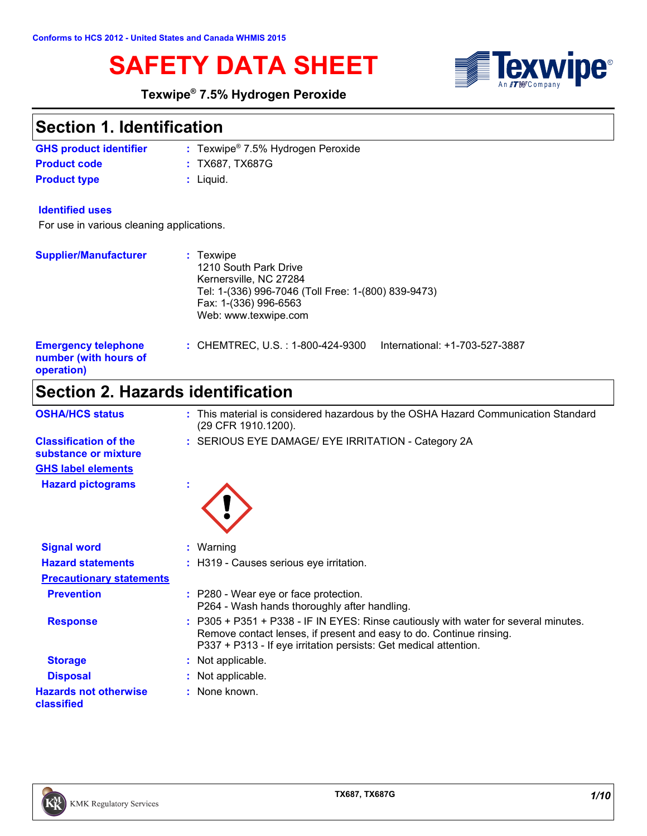

# **SAFETY DATA SHEET SEET TEXM**

### **Texwipe® 7.5% Hydrogen Peroxide**

### **Section 1. Identification**

| <b>GHS product identifier</b> | : Texwipe <sup>®</sup> 7.5% Hydrogen Peroxide |
|-------------------------------|-----------------------------------------------|
| <b>Product code</b>           | : TX687. TX687G                               |
| <b>Product type</b>           | : Liauid.                                     |

#### **Identified uses**

For use in various cleaning applications.

| <b>Supplier/Manufacturer</b>                                      | $:$ Texwipe<br>1210 South Park Drive<br>Kernersville, NC 27284<br>Tel: 1-(336) 996-7046 (Toll Free: 1-(800) 839-9473)<br>Fax: 1-(336) 996-6563<br>Web: www.texwipe.com |  |
|-------------------------------------------------------------------|------------------------------------------------------------------------------------------------------------------------------------------------------------------------|--|
| <b>Emergency telephone</b><br>number (with hours of<br>operation) | : CHEMTREC, U.S. : 1-800-424-9300<br>International: +1-703-527-3887                                                                                                    |  |

## **Section 2. Hazards identification**

| <b>OSHA/HCS status</b>                               | : This material is considered hazardous by the OSHA Hazard Communication Standard<br>(29 CFR 1910.1200).                                                                                                                       |
|------------------------------------------------------|--------------------------------------------------------------------------------------------------------------------------------------------------------------------------------------------------------------------------------|
| <b>Classification of the</b><br>substance or mixture | : SERIOUS EYE DAMAGE/ EYE IRRITATION - Category 2A                                                                                                                                                                             |
| <b>GHS label elements</b>                            |                                                                                                                                                                                                                                |
| <b>Hazard pictograms</b>                             |                                                                                                                                                                                                                                |
| <b>Signal word</b>                                   | $:$ Warning                                                                                                                                                                                                                    |
| <b>Hazard statements</b>                             | : H319 - Causes serious eye irritation.                                                                                                                                                                                        |
| <b>Precautionary statements</b>                      |                                                                                                                                                                                                                                |
| <b>Prevention</b>                                    | : P280 - Wear eye or face protection.<br>P264 - Wash hands thoroughly after handling.                                                                                                                                          |
| <b>Response</b>                                      | : P305 + P351 + P338 - IF IN EYES: Rinse cautiously with water for several minutes.<br>Remove contact lenses, if present and easy to do. Continue rinsing.<br>P337 + P313 - If eye irritation persists: Get medical attention. |
| <b>Storage</b>                                       | : Not applicable.                                                                                                                                                                                                              |
| <b>Disposal</b>                                      | : Not applicable.                                                                                                                                                                                                              |
| <b>Hazards not otherwise</b><br>classified           | : None known.                                                                                                                                                                                                                  |

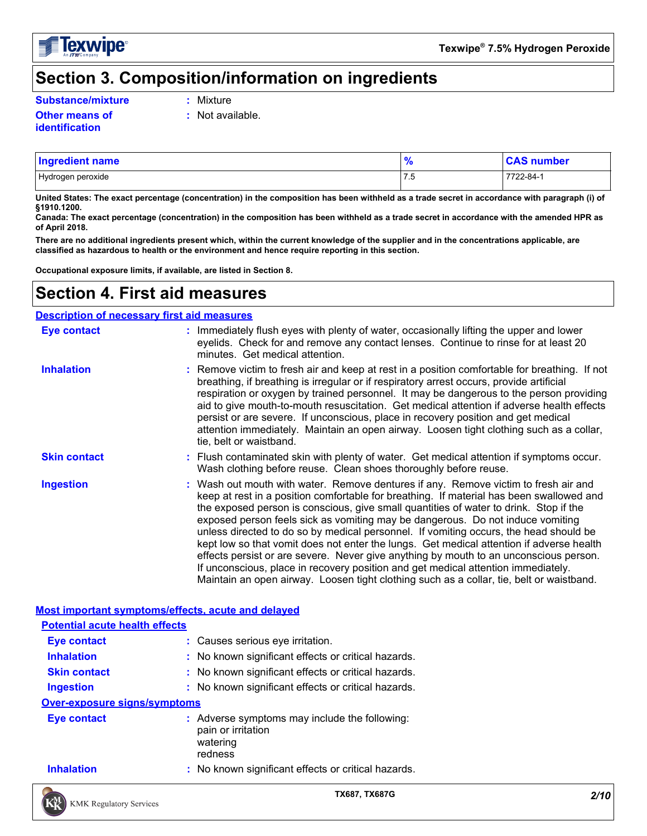

### **Section 3. Composition/information on ingredients**

**Substance/mixture :** Mixture

- 
- **Other means of identification**
- **:** Not available.
- Hydrogen peroxide 7722-84-1 **Ingredient name % CAS number**

**United States: The exact percentage (concentration) in the composition has been withheld as a trade secret in accordance with paragraph (i) of §1910.1200.**

**Canada: The exact percentage (concentration) in the composition has been withheld as a trade secret in accordance with the amended HPR as of April 2018.**

**There are no additional ingredients present which, within the current knowledge of the supplier and in the concentrations applicable, are classified as hazardous to health or the environment and hence require reporting in this section.**

**Occupational exposure limits, if available, are listed in Section 8.**

### **Section 4. First aid measures**

| <b>Description of necessary first aid measures</b> |                                                                                                                                                                                                                                                                                                                                                                                                                                                                                                                                                                                                                                                                                                                                                                                                                           |  |  |
|----------------------------------------------------|---------------------------------------------------------------------------------------------------------------------------------------------------------------------------------------------------------------------------------------------------------------------------------------------------------------------------------------------------------------------------------------------------------------------------------------------------------------------------------------------------------------------------------------------------------------------------------------------------------------------------------------------------------------------------------------------------------------------------------------------------------------------------------------------------------------------------|--|--|
| <b>Eye contact</b>                                 | : Immediately flush eyes with plenty of water, occasionally lifting the upper and lower<br>eyelids. Check for and remove any contact lenses. Continue to rinse for at least 20<br>minutes. Get medical attention.                                                                                                                                                                                                                                                                                                                                                                                                                                                                                                                                                                                                         |  |  |
| <b>Inhalation</b>                                  | : Remove victim to fresh air and keep at rest in a position comfortable for breathing. If not<br>breathing, if breathing is irregular or if respiratory arrest occurs, provide artificial<br>respiration or oxygen by trained personnel. It may be dangerous to the person providing<br>aid to give mouth-to-mouth resuscitation. Get medical attention if adverse health effects<br>persist or are severe. If unconscious, place in recovery position and get medical<br>attention immediately. Maintain an open airway. Loosen tight clothing such as a collar,<br>tie, belt or waistband.                                                                                                                                                                                                                              |  |  |
| <b>Skin contact</b>                                | : Flush contaminated skin with plenty of water. Get medical attention if symptoms occur.<br>Wash clothing before reuse. Clean shoes thoroughly before reuse.                                                                                                                                                                                                                                                                                                                                                                                                                                                                                                                                                                                                                                                              |  |  |
| <b>Ingestion</b>                                   | : Wash out mouth with water. Remove dentures if any. Remove victim to fresh air and<br>keep at rest in a position comfortable for breathing. If material has been swallowed and<br>the exposed person is conscious, give small quantities of water to drink. Stop if the<br>exposed person feels sick as vomiting may be dangerous. Do not induce vomiting<br>unless directed to do so by medical personnel. If vomiting occurs, the head should be<br>kept low so that vomit does not enter the lungs. Get medical attention if adverse health<br>effects persist or are severe. Never give anything by mouth to an unconscious person.<br>If unconscious, place in recovery position and get medical attention immediately.<br>Maintain an open airway. Loosen tight clothing such as a collar, tie, belt or waistband. |  |  |
| Most important symptoms/effects, acute and delayed |                                                                                                                                                                                                                                                                                                                                                                                                                                                                                                                                                                                                                                                                                                                                                                                                                           |  |  |
| <b>Potential acute health effects</b>              |                                                                                                                                                                                                                                                                                                                                                                                                                                                                                                                                                                                                                                                                                                                                                                                                                           |  |  |
| Eye contact                                        | : Causes serious eye irritation.                                                                                                                                                                                                                                                                                                                                                                                                                                                                                                                                                                                                                                                                                                                                                                                          |  |  |
|                                                    |                                                                                                                                                                                                                                                                                                                                                                                                                                                                                                                                                                                                                                                                                                                                                                                                                           |  |  |

**Inhalation :** No known significant effects or critical hazards. **Ingestion :** No known significant effects or critical hazards. **Skin contact :** No known significant effects or critical hazards.

### **Over-exposure signs/symptoms**

| <b>Eve contact</b> | : Adverse symptoms may include the following:<br>pain or irritation<br>watering<br>redness |
|--------------------|--------------------------------------------------------------------------------------------|
| <b>Inhalation</b>  | : No known significant effects or critical hazards.                                        |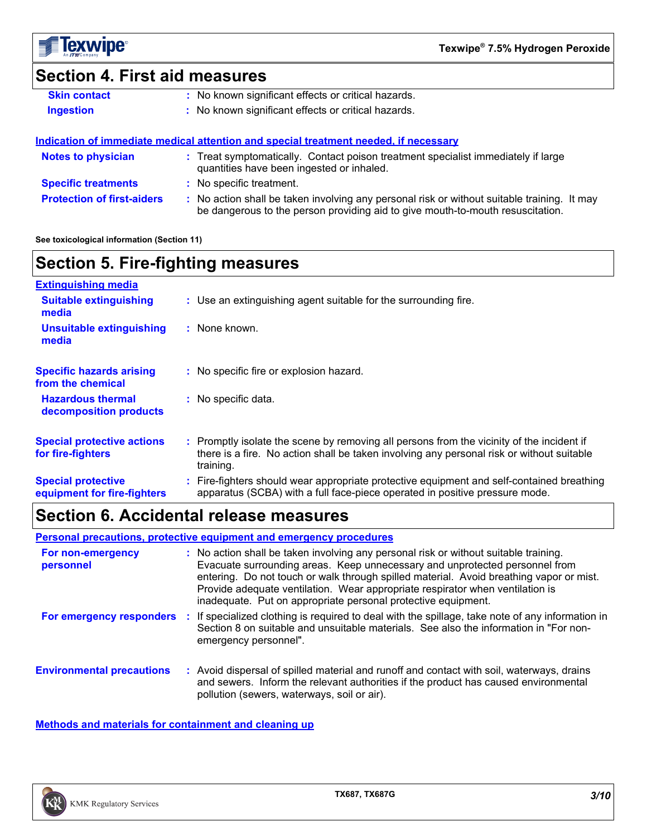

### **Section 4. First aid measures**

| <b>Skin contact</b> | : No known significant effects or critical hazards. |
|---------------------|-----------------------------------------------------|
| <b>Ingestion</b>    | : No known significant effects or critical hazards. |

**Protection of first-aiders :** No action shall be taken involving any personal risk or without suitable training. It may be dangerous to the person providing aid to give mouth-to-mouth resuscitation. **Notes to physician :** Treat symptomatically. Contact poison treatment specialist immediately if large quantities have been ingested or inhaled. **Specific treatments :** No specific treatment. **Indication of immediate medical attention and special treatment needed, if necessary**

**See toxicological information (Section 11)**

### **Section 5. Fire-fighting measures**

| <b>Extinguishing media</b>                               |                                                                                                                                                                                                     |
|----------------------------------------------------------|-----------------------------------------------------------------------------------------------------------------------------------------------------------------------------------------------------|
| <b>Suitable extinguishing</b><br>media                   | : Use an extinguishing agent suitable for the surrounding fire.                                                                                                                                     |
| <b>Unsuitable extinguishing</b><br>media                 | : None known.                                                                                                                                                                                       |
| <b>Specific hazards arising</b><br>from the chemical     | : No specific fire or explosion hazard.                                                                                                                                                             |
| <b>Hazardous thermal</b><br>decomposition products       | : No specific data.                                                                                                                                                                                 |
| <b>Special protective actions</b><br>for fire-fighters   | : Promptly isolate the scene by removing all persons from the vicinity of the incident if<br>there is a fire. No action shall be taken involving any personal risk or without suitable<br>training. |
| <b>Special protective</b><br>equipment for fire-fighters | Fire-fighters should wear appropriate protective equipment and self-contained breathing<br>apparatus (SCBA) with a full face-piece operated in positive pressure mode.                              |

### **Section 6. Accidental release measures**

**Personal precautions, protective equipment and emergency procedures**

| For non-emergency<br>personnel   | : No action shall be taken involving any personal risk or without suitable training.<br>Evacuate surrounding areas. Keep unnecessary and unprotected personnel from<br>entering. Do not touch or walk through spilled material. Avoid breathing vapor or mist.<br>Provide adequate ventilation. Wear appropriate respirator when ventilation is<br>inadequate. Put on appropriate personal protective equipment. |
|----------------------------------|------------------------------------------------------------------------------------------------------------------------------------------------------------------------------------------------------------------------------------------------------------------------------------------------------------------------------------------------------------------------------------------------------------------|
| For emergency responders         | If specialized clothing is required to deal with the spillage, take note of any information in<br>Section 8 on suitable and unsuitable materials. See also the information in "For non-<br>emergency personnel".                                                                                                                                                                                                 |
| <b>Environmental precautions</b> | Avoid dispersal of spilled material and runoff and contact with soil, waterways, drains<br>and sewers. Inform the relevant authorities if the product has caused environmental<br>pollution (sewers, waterways, soil or air).                                                                                                                                                                                    |

**Methods and materials for containment and cleaning up**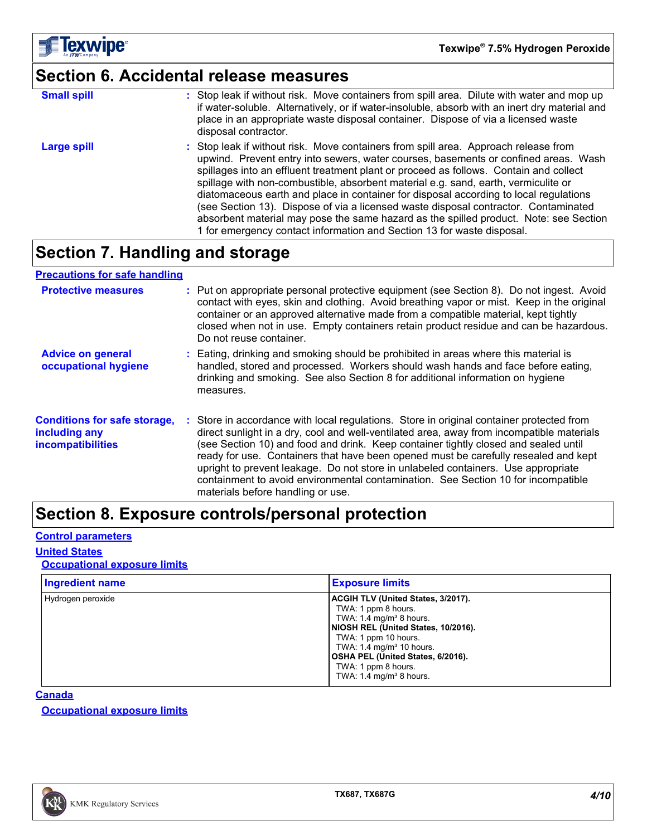

## **Section 6. Accidental release measures**

| <b>Small spill</b> | : Stop leak if without risk. Move containers from spill area. Dilute with water and mop up<br>if water-soluble. Alternatively, or if water-insoluble, absorb with an inert dry material and<br>place in an appropriate waste disposal container. Dispose of via a licensed waste<br>disposal contractor.                                                                                                                                                                                                                                                                                                                                                                                                     |
|--------------------|--------------------------------------------------------------------------------------------------------------------------------------------------------------------------------------------------------------------------------------------------------------------------------------------------------------------------------------------------------------------------------------------------------------------------------------------------------------------------------------------------------------------------------------------------------------------------------------------------------------------------------------------------------------------------------------------------------------|
| Large spill        | : Stop leak if without risk. Move containers from spill area. Approach release from<br>upwind. Prevent entry into sewers, water courses, basements or confined areas. Wash<br>spillages into an effluent treatment plant or proceed as follows. Contain and collect<br>spillage with non-combustible, absorbent material e.g. sand, earth, vermiculite or<br>diatomaceous earth and place in container for disposal according to local regulations<br>(see Section 13). Dispose of via a licensed waste disposal contractor. Contaminated<br>absorbent material may pose the same hazard as the spilled product. Note: see Section<br>1 for emergency contact information and Section 13 for waste disposal. |

### **Section 7. Handling and storage**

#### **Precautions for safe handling**

| <b>Protective measures</b>                                                | : Put on appropriate personal protective equipment (see Section 8). Do not ingest. Avoid<br>contact with eyes, skin and clothing. Avoid breathing vapor or mist. Keep in the original<br>container or an approved alternative made from a compatible material, kept tightly<br>closed when not in use. Empty containers retain product residue and can be hazardous.<br>Do not reuse container.                                                                                                                                                                                  |  |
|---------------------------------------------------------------------------|----------------------------------------------------------------------------------------------------------------------------------------------------------------------------------------------------------------------------------------------------------------------------------------------------------------------------------------------------------------------------------------------------------------------------------------------------------------------------------------------------------------------------------------------------------------------------------|--|
| <b>Advice on general</b><br>occupational hygiene                          | : Eating, drinking and smoking should be prohibited in areas where this material is<br>handled, stored and processed. Workers should wash hands and face before eating,<br>drinking and smoking. See also Section 8 for additional information on hygiene<br>measures.                                                                                                                                                                                                                                                                                                           |  |
| <b>Conditions for safe storage,</b><br>including any<br>incompatibilities | Store in accordance with local regulations. Store in original container protected from<br>direct sunlight in a dry, cool and well-ventilated area, away from incompatible materials<br>(see Section 10) and food and drink. Keep container tightly closed and sealed until<br>ready for use. Containers that have been opened must be carefully resealed and kept<br>upright to prevent leakage. Do not store in unlabeled containers. Use appropriate<br>containment to avoid environmental contamination. See Section 10 for incompatible<br>materials before handling or use. |  |

### **Section 8. Exposure controls/personal protection**

#### **Control parameters**

### **United States**

#### **Occupational exposure limits**

| <b>Ingredient name</b> | <b>Exposure limits</b>                                                                                                                                                                                                                                                                                                |
|------------------------|-----------------------------------------------------------------------------------------------------------------------------------------------------------------------------------------------------------------------------------------------------------------------------------------------------------------------|
| Hydrogen peroxide      | <b>ACGIH TLV (United States, 3/2017).</b><br>TWA: 1 ppm 8 hours.<br>TWA: $1.4 \text{ mg/m}^3$ 8 hours.<br>NIOSH REL (United States, 10/2016).<br>TWA: 1 ppm 10 hours.<br>TWA: $1.4 \text{ mg/m}^3$ 10 hours.<br><b>OSHA PEL (United States, 6/2016).</b><br>TWA: 1 ppm 8 hours.<br>TWA: $1.4 \text{ mg/m}^3$ 8 hours. |

#### **Canada**

**Occupational exposure limits**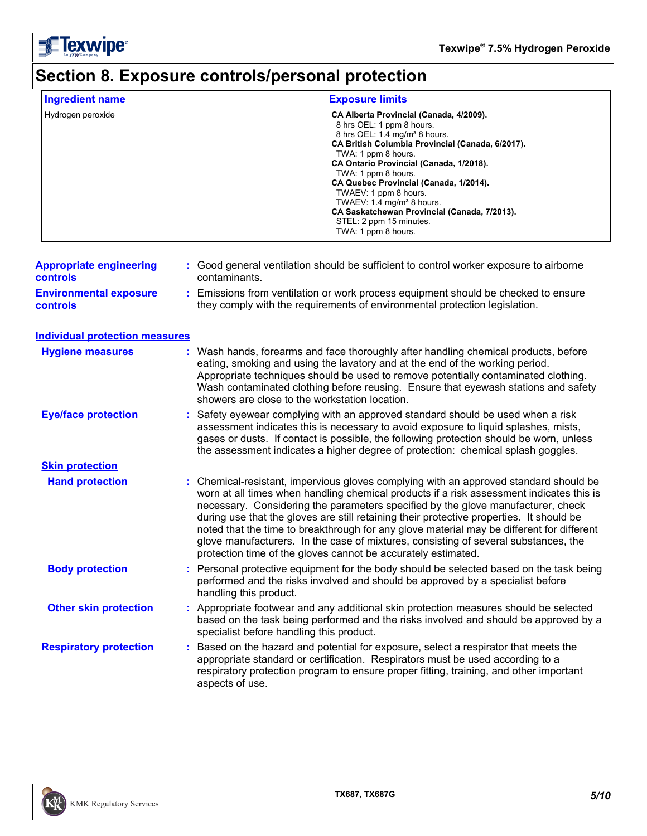**Texwipe**®

## **Section 8. Exposure controls/personal protection**

| <b>Ingredient name</b> | <b>Exposure limits</b>                                                                                                                                                                                                                                                                                                                                                                                                                                                       |
|------------------------|------------------------------------------------------------------------------------------------------------------------------------------------------------------------------------------------------------------------------------------------------------------------------------------------------------------------------------------------------------------------------------------------------------------------------------------------------------------------------|
| Hydrogen peroxide      | CA Alberta Provincial (Canada, 4/2009).<br>8 hrs OEL: 1 ppm 8 hours.<br>8 hrs OEL: 1.4 mg/m <sup>3</sup> 8 hours.<br>CA British Columbia Provincial (Canada, 6/2017).<br>TWA: 1 ppm 8 hours.<br>CA Ontario Provincial (Canada, 1/2018).<br>TWA: 1 ppm 8 hours.<br>CA Quebec Provincial (Canada, 1/2014).<br>TWAEV: 1 ppm 8 hours.<br>TWAEV: 1.4 mg/m <sup>3</sup> 8 hours.<br>CA Saskatchewan Provincial (Canada, 7/2013).<br>STEL: 2 ppm 15 minutes.<br>TWA: 1 ppm 8 hours. |

| <b>Appropriate engineering</b><br><b>controls</b> | : Good general ventilation should be sufficient to control worker exposure to airborne<br>contaminants.                                                                                                                                                                                                                                                                                                                                                                                                                                                                                                                |
|---------------------------------------------------|------------------------------------------------------------------------------------------------------------------------------------------------------------------------------------------------------------------------------------------------------------------------------------------------------------------------------------------------------------------------------------------------------------------------------------------------------------------------------------------------------------------------------------------------------------------------------------------------------------------------|
| <b>Environmental exposure</b><br><b>controls</b>  | : Emissions from ventilation or work process equipment should be checked to ensure<br>they comply with the requirements of environmental protection legislation.                                                                                                                                                                                                                                                                                                                                                                                                                                                       |
| <b>Individual protection measures</b>             |                                                                                                                                                                                                                                                                                                                                                                                                                                                                                                                                                                                                                        |
| <b>Hygiene measures</b>                           | : Wash hands, forearms and face thoroughly after handling chemical products, before<br>eating, smoking and using the lavatory and at the end of the working period.<br>Appropriate techniques should be used to remove potentially contaminated clothing.<br>Wash contaminated clothing before reusing. Ensure that eyewash stations and safety<br>showers are close to the workstation location.                                                                                                                                                                                                                      |
| <b>Eye/face protection</b>                        | : Safety eyewear complying with an approved standard should be used when a risk<br>assessment indicates this is necessary to avoid exposure to liquid splashes, mists,<br>gases or dusts. If contact is possible, the following protection should be worn, unless<br>the assessment indicates a higher degree of protection: chemical splash goggles.                                                                                                                                                                                                                                                                  |
| <b>Skin protection</b>                            |                                                                                                                                                                                                                                                                                                                                                                                                                                                                                                                                                                                                                        |
| <b>Hand protection</b>                            | : Chemical-resistant, impervious gloves complying with an approved standard should be<br>worn at all times when handling chemical products if a risk assessment indicates this is<br>necessary. Considering the parameters specified by the glove manufacturer, check<br>during use that the gloves are still retaining their protective properties. It should be<br>noted that the time to breakthrough for any glove material may be different for different<br>glove manufacturers. In the case of mixtures, consisting of several substances, the<br>protection time of the gloves cannot be accurately estimated. |
| <b>Body protection</b>                            | Personal protective equipment for the body should be selected based on the task being<br>performed and the risks involved and should be approved by a specialist before<br>handling this product.                                                                                                                                                                                                                                                                                                                                                                                                                      |
| <b>Other skin protection</b>                      | Appropriate footwear and any additional skin protection measures should be selected<br>based on the task being performed and the risks involved and should be approved by a<br>specialist before handling this product.                                                                                                                                                                                                                                                                                                                                                                                                |
| <b>Respiratory protection</b>                     | Based on the hazard and potential for exposure, select a respirator that meets the<br>t.<br>appropriate standard or certification. Respirators must be used according to a<br>respiratory protection program to ensure proper fitting, training, and other important<br>aspects of use.                                                                                                                                                                                                                                                                                                                                |
|                                                   |                                                                                                                                                                                                                                                                                                                                                                                                                                                                                                                                                                                                                        |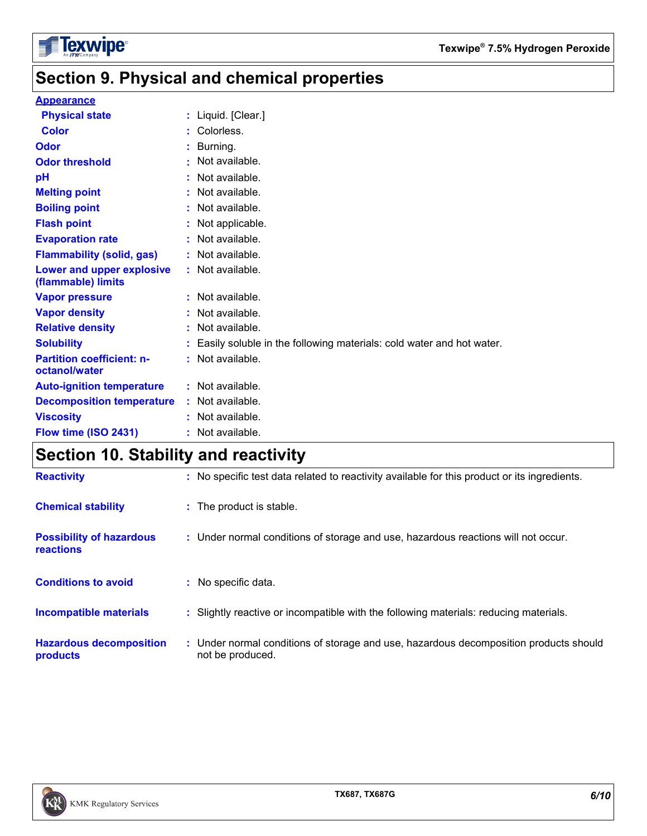

### **Section 9. Physical and chemical properties**

#### **Appearance**

| <b>Physical state</b>                             | : Liquid. [Clear.]                                                     |
|---------------------------------------------------|------------------------------------------------------------------------|
| <b>Color</b>                                      | : Colorless.                                                           |
| Odor                                              | : Burning.                                                             |
| <b>Odor threshold</b>                             | $:$ Not available.                                                     |
| pH                                                | : Not available.                                                       |
| <b>Melting point</b>                              | : Not available.                                                       |
| <b>Boiling point</b>                              | : Not available.                                                       |
| <b>Flash point</b>                                | : Not applicable.                                                      |
| <b>Evaporation rate</b>                           | : Not available.                                                       |
| <b>Flammability (solid, gas)</b>                  | : Not available.                                                       |
| Lower and upper explosive<br>(flammable) limits   | $:$ Not available.                                                     |
| <b>Vapor pressure</b>                             | $:$ Not available.                                                     |
| <b>Vapor density</b>                              | : Not available.                                                       |
| <b>Relative density</b>                           | : Not available.                                                       |
| <b>Solubility</b>                                 | : Easily soluble in the following materials: cold water and hot water. |
| <b>Partition coefficient: n-</b><br>octanol/water | : Not available.                                                       |
| <b>Auto-ignition temperature</b>                  | $:$ Not available.                                                     |
| <b>Decomposition temperature</b>                  | : Not available.                                                       |
| <b>Viscosity</b>                                  | : Not available.                                                       |
| Flow time (ISO 2431)                              | : Not available.                                                       |

### **Section 10. Stability and reactivity**

| <b>Reactivity</b>                            | : No specific test data related to reactivity available for this product or its ingredients.              |
|----------------------------------------------|-----------------------------------------------------------------------------------------------------------|
| <b>Chemical stability</b>                    | : The product is stable.                                                                                  |
| <b>Possibility of hazardous</b><br>reactions | : Under normal conditions of storage and use, hazardous reactions will not occur.                         |
| <b>Conditions to avoid</b>                   | : No specific data.                                                                                       |
| <b>Incompatible materials</b>                | : Slightly reactive or incompatible with the following materials: reducing materials.                     |
| <b>Hazardous decomposition</b><br>products   | : Under normal conditions of storage and use, hazardous decomposition products should<br>not be produced. |

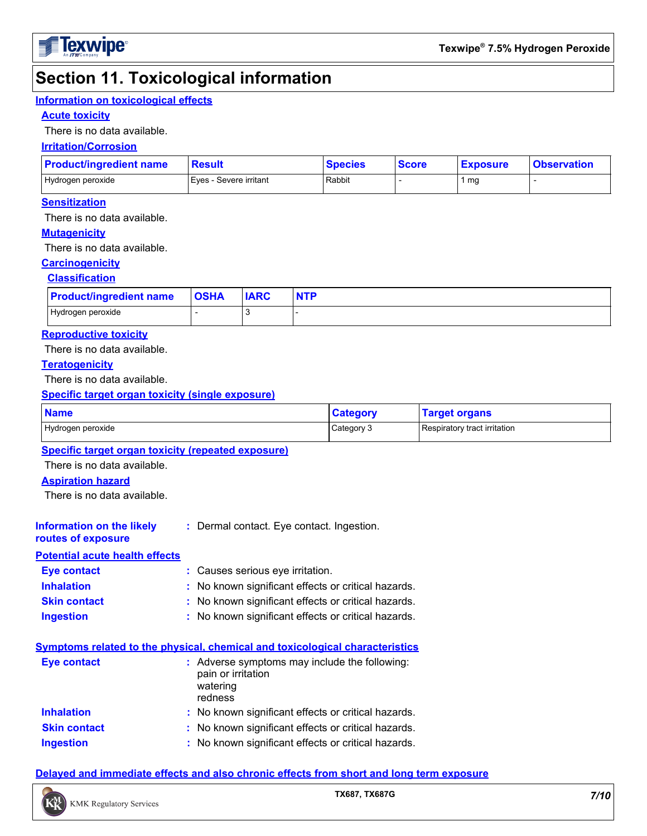

### **Section 11. Toxicological information**

#### **Information on toxicological effects**

#### **Acute toxicity**

There is no data available.

#### **Irritation/Corrosion**

| <b>Product/ingredient name</b> | <b>Result</b>          |                    | <b>Species</b> | <b>Score</b> | <b>Exposure</b> | <b>Observation</b> |
|--------------------------------|------------------------|--------------------|----------------|--------------|-----------------|--------------------|
| Hydrogen peroxide              | Eyes - Severe irritant |                    | Rabbit         |              | 1 $mg$          |                    |
| <b>Sensitization</b>           |                        |                    |                |              |                 |                    |
| There is no data available.    |                        |                    |                |              |                 |                    |
| <b>Mutagenicity</b>            |                        |                    |                |              |                 |                    |
| There is no data available.    |                        |                    |                |              |                 |                    |
| <b>Carcinogenicity</b>         |                        |                    |                |              |                 |                    |
| <b>Classification</b>          |                        |                    |                |              |                 |                    |
| Draduotlingradiant nama        | <b>OCUA</b>            | IADC<br><b>NTD</b> |                |              |                 |                    |

| <b>Product/ingredient name</b> | <b>OSHA</b> | <b>IARC</b> |  |
|--------------------------------|-------------|-------------|--|
| Hydrogen peroxide              |             |             |  |

#### **Reproductive toxicity**

There is no data available.

#### **Teratogenicity**

There is no data available.

#### **Specific target organ toxicity (single exposure)**

| <b>Name</b>       | <b>Category</b> | <b>Target organs</b>         |
|-------------------|-----------------|------------------------------|
| Hydrogen peroxide | Category 3      | Respiratory tract irritation |

#### **Specific target organ toxicity (repeated exposure)**

There is no data available.

#### **Aspiration hazard**

**routes of exposure**

There is no data available.

#### **Information on the likely :** Dermal contact. Eye contact. Ingestion.

**Potential acute health effects**

- 
- **Inhalation :** No known significant effects or critical hazards. **Skin contact :** No known significant effects or critical hazards. **Eye contact :** Causes serious eye irritation.
- **Ingestion :** No known significant effects or critical hazards.

|--|

| <b>Eye contact</b>  | : Adverse symptoms may include the following:<br>pain or irritation<br>watering<br>redness |
|---------------------|--------------------------------------------------------------------------------------------|
| <b>Inhalation</b>   | : No known significant effects or critical hazards.                                        |
| <b>Skin contact</b> | : No known significant effects or critical hazards.                                        |
| <b>Ingestion</b>    | : No known significant effects or critical hazards.                                        |

#### **Delayed and immediate effects and also chronic effects from short and long term exposure**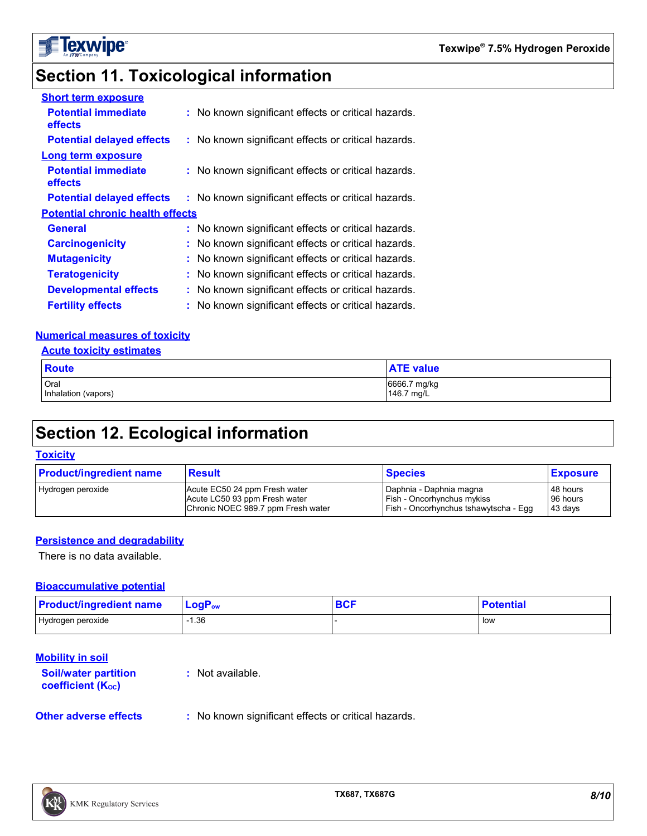

### **Section 11. Toxicological information**

| <b>Short term exposure</b>              |                                                     |
|-----------------------------------------|-----------------------------------------------------|
| <b>Potential immediate</b><br>effects   | : No known significant effects or critical hazards. |
| <b>Potential delayed effects</b>        | : No known significant effects or critical hazards. |
| <b>Long term exposure</b>               |                                                     |
| <b>Potential immediate</b><br>effects   | : No known significant effects or critical hazards. |
| <b>Potential delayed effects</b>        | : No known significant effects or critical hazards. |
| <b>Potential chronic health effects</b> |                                                     |
| <b>General</b>                          | : No known significant effects or critical hazards. |
| <b>Carcinogenicity</b>                  | : No known significant effects or critical hazards. |
| <b>Mutagenicity</b>                     | : No known significant effects or critical hazards. |
| <b>Teratogenicity</b>                   | : No known significant effects or critical hazards. |
| <b>Developmental effects</b>            | : No known significant effects or critical hazards. |
| <b>Fertility effects</b>                | : No known significant effects or critical hazards. |

#### **Numerical measures of toxicity**

| <b>Acute toxicity estimates</b> |                            |  |  |  |  |  |
|---------------------------------|----------------------------|--|--|--|--|--|
| <b>Route</b>                    | <b>ATE value</b>           |  |  |  |  |  |
| Oral<br>Inhalation (vapors)     | 6666.7 mg/kg<br>146.7 mg/L |  |  |  |  |  |

### **Section 12. Ecological information**

#### **Toxicity**

| <b>Product/ingredient name</b> | <b>Result</b>                      | <b>Species</b>                        | <b>Exposure</b> |
|--------------------------------|------------------------------------|---------------------------------------|-----------------|
| Hydrogen peroxide              | Acute EC50 24 ppm Fresh water      | Daphnia - Daphnia magna               | 48 hours        |
|                                | Acute LC50 93 ppm Fresh water      | <b>Fish - Oncorhynchus mykiss</b>     | 96 hours        |
|                                | Chronic NOEC 989.7 ppm Fresh water | Fish - Oncorhynchus tshawytscha - Egg | 43 days         |

#### **Persistence and degradability**

There is no data available.

#### **Bioaccumulative potential**

| <b>Product/ingredient name</b> | $\mathsf{LogP}_\mathsf{ow}$ | <b>BCF</b> | <b>Potential</b> |
|--------------------------------|-----------------------------|------------|------------------|
| Hydrogen peroxide              | $-1.36$                     |            | low              |

#### **Mobility in soil**

**Soil/water partition coefficient (KOC)**

**:** Not available.

**Other adverse effects** : No known significant effects or critical hazards.

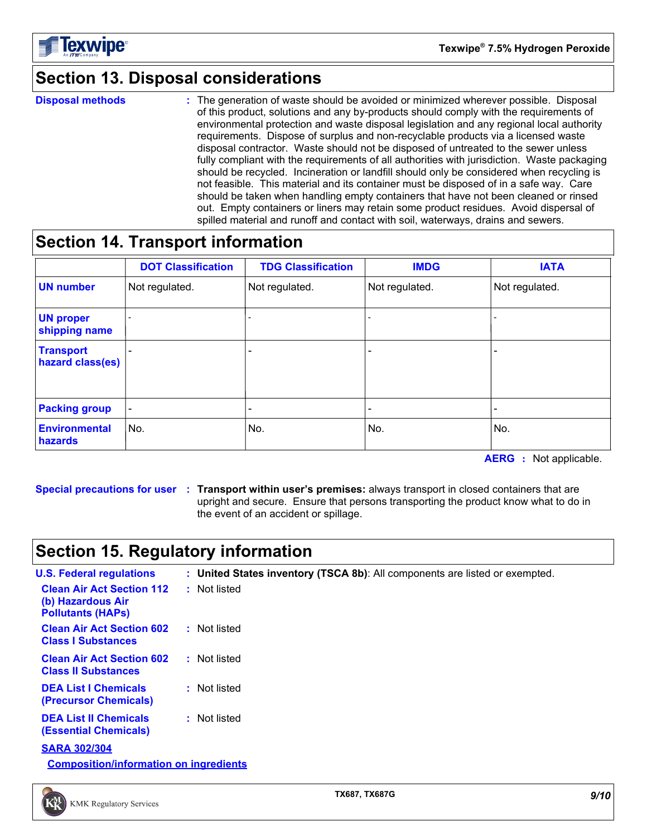

### **Section 13. Disposal considerations**

**Disposal methods :**

The generation of waste should be avoided or minimized wherever possible. Disposal of this product, solutions and any by-products should comply with the requirements of environmental protection and waste disposal legislation and any regional local authority requirements. Dispose of surplus and non-recyclable products via a licensed waste disposal contractor. Waste should not be disposed of untreated to the sewer unless fully compliant with the requirements of all authorities with jurisdiction. Waste packaging should be recycled. Incineration or landfill should only be considered when recycling is not feasible. This material and its container must be disposed of in a safe way. Care should be taken when handling empty containers that have not been cleaned or rinsed out. Empty containers or liners may retain some product residues. Avoid dispersal of spilled material and runoff and contact with soil, waterways, drains and sewers.

### **Section 14. Transport information**

|                                      | <b>DOT Classification</b> | <b>TDG Classification</b> | <b>IMDG</b>    | <b>IATA</b>              |
|--------------------------------------|---------------------------|---------------------------|----------------|--------------------------|
| <b>UN number</b>                     | Not regulated.            | Not regulated.            | Not regulated. | Not regulated.           |
| <b>UN proper</b><br>shipping name    |                           |                           |                |                          |
| <b>Transport</b><br>hazard class(es) |                           | $\overline{\phantom{0}}$  |                |                          |
| <b>Packing group</b>                 | $\overline{\phantom{a}}$  | $\overline{\phantom{0}}$  |                | $\overline{\phantom{0}}$ |
| <b>Environmental</b><br>hazards      | No.                       | No.                       | No.            | No.                      |

**AERG :** Not applicable.

**Special precautions for user Transport within user's premises:** always transport in closed containers that are **:** upright and secure. Ensure that persons transporting the product know what to do in the event of an accident or spillage.

### **Section 15. Regulatory information**

| <b>U.S. Federal regulations</b>                                                   | : United States inventory (TSCA 8b): All components are listed or exempted. |  |
|-----------------------------------------------------------------------------------|-----------------------------------------------------------------------------|--|
| <b>Clean Air Act Section 112</b><br>(b) Hazardous Air<br><b>Pollutants (HAPS)</b> | : Not listed                                                                |  |
| <b>Clean Air Act Section 602</b><br><b>Class I Substances</b>                     | : Not listed                                                                |  |
| <b>Clean Air Act Section 602</b><br><b>Class II Substances</b>                    | : Not listed                                                                |  |
| <b>DEA List I Chemicals</b><br>(Precursor Chemicals)                              | : Not listed                                                                |  |
| <b>DEA List II Chemicals</b><br><b>(Essential Chemicals)</b>                      | : Not listed                                                                |  |
| <b>SARA 302/304</b>                                                               |                                                                             |  |

**Composition/information on ingredients**